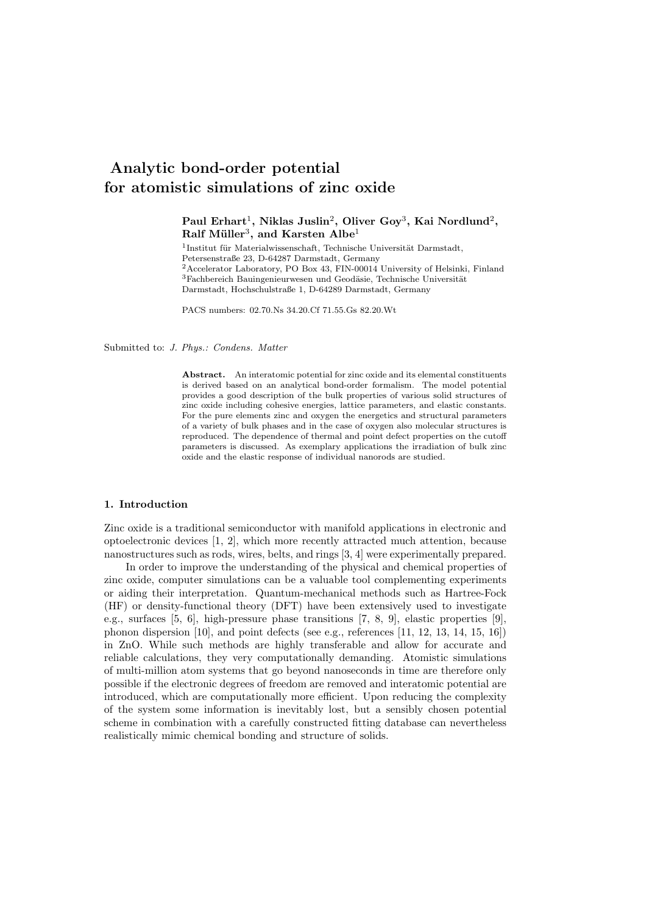# Analytic bond-order potential for atomistic simulations of zinc oxide

# Paul Erhart $^1$ , Niklas Juslin $^2$ , Oliver Goy $^3$ , Kai Nordlund $^2$ ,  $\mathrm{Ralf \; Miller^3, \; and \; Karsten \; Albe^1}$

 $^{1}$ Institut für Materialwissenschaft, Technische Universität Darmstadt, Petersenstraße 23, D-64287 Darmstadt, Germany <sup>2</sup>Accelerator Laboratory, PO Box 43, FIN-00014 University of Helsinki, Finland  $3F$ achbereich Bauingenieurwesen und Geodäsie, Technische Universität Darmstadt, Hochschulstraße 1, D-64289 Darmstadt, Germany

PACS numbers: 02.70.Ns 34.20.Cf 71.55.Gs 82.20.Wt

Submitted to: J. Phys.: Condens. Matter

Abstract. An interatomic potential for zinc oxide and its elemental constituents is derived based on an analytical bond-order formalism. The model potential provides a good description of the bulk properties of various solid structures of zinc oxide including cohesive energies, lattice parameters, and elastic constants. For the pure elements zinc and oxygen the energetics and structural parameters of a variety of bulk phases and in the case of oxygen also molecular structures is reproduced. The dependence of thermal and point defect properties on the cutoff parameters is discussed. As exemplary applications the irradiation of bulk zinc oxide and the elastic response of individual nanorods are studied.

#### 1. Introduction

Zinc oxide is a traditional semiconductor with manifold applications in electronic and optoelectronic devices [1, 2], which more recently attracted much attention, because nanostructures such as rods, wires, belts, and rings [3, 4] were experimentally prepared.

In order to improve the understanding of the physical and chemical properties of zinc oxide, computer simulations can be a valuable tool complementing experiments or aiding their interpretation. Quantum-mechanical methods such as Hartree-Fock (HF) or density-functional theory (DFT) have been extensively used to investigate e.g., surfaces [5, 6], high-pressure phase transitions [7, 8, 9], elastic properties [9], phonon dispersion [10], and point defects (see e.g., references [11, 12, 13, 14, 15, 16]) in ZnO. While such methods are highly transferable and allow for accurate and reliable calculations, they very computationally demanding. Atomistic simulations of multi-million atom systems that go beyond nanoseconds in time are therefore only possible if the electronic degrees of freedom are removed and interatomic potential are introduced, which are computationally more efficient. Upon reducing the complexity of the system some information is inevitably lost, but a sensibly chosen potential scheme in combination with a carefully constructed fitting database can nevertheless realistically mimic chemical bonding and structure of solids.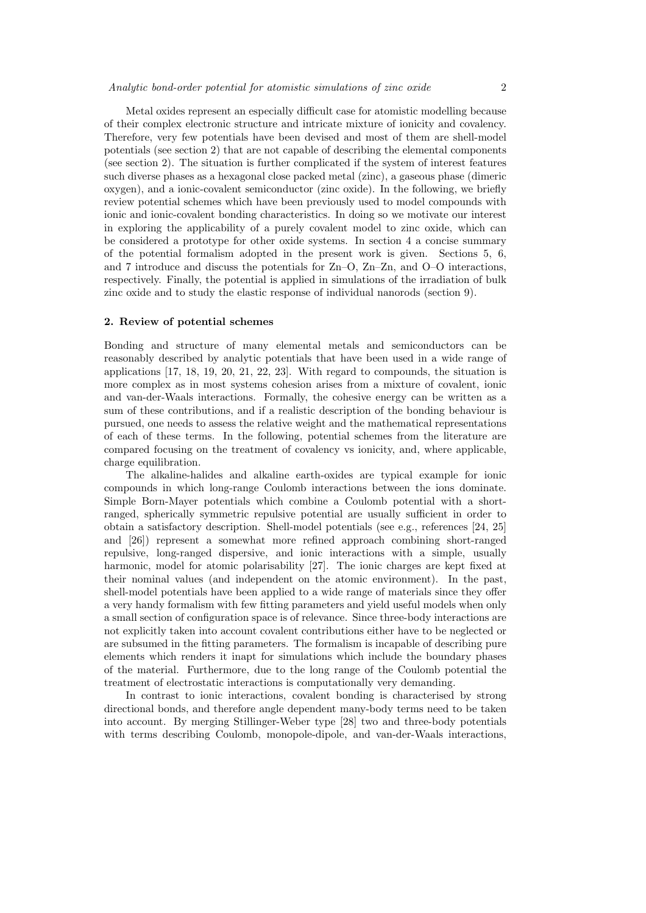Metal oxides represent an especially difficult case for atomistic modelling because of their complex electronic structure and intricate mixture of ionicity and covalency. Therefore, very few potentials have been devised and most of them are shell-model potentials (see section 2) that are not capable of describing the elemental components (see section 2). The situation is further complicated if the system of interest features such diverse phases as a hexagonal close packed metal (zinc), a gaseous phase (dimeric oxygen), and a ionic-covalent semiconductor (zinc oxide). In the following, we briefly review potential schemes which have been previously used to model compounds with ionic and ionic-covalent bonding characteristics. In doing so we motivate our interest in exploring the applicability of a purely covalent model to zinc oxide, which can be considered a prototype for other oxide systems. In section 4 a concise summary of the potential formalism adopted in the present work is given. Sections 5, 6, and 7 introduce and discuss the potentials for Zn–O, Zn–Zn, and O–O interactions, respectively. Finally, the potential is applied in simulations of the irradiation of bulk zinc oxide and to study the elastic response of individual nanorods (section 9).

#### 2. Review of potential schemes

Bonding and structure of many elemental metals and semiconductors can be reasonably described by analytic potentials that have been used in a wide range of applications [17, 18, 19, 20, 21, 22, 23]. With regard to compounds, the situation is more complex as in most systems cohesion arises from a mixture of covalent, ionic and van-der-Waals interactions. Formally, the cohesive energy can be written as a sum of these contributions, and if a realistic description of the bonding behaviour is pursued, one needs to assess the relative weight and the mathematical representations of each of these terms. In the following, potential schemes from the literature are compared focusing on the treatment of covalency vs ionicity, and, where applicable, charge equilibration.

The alkaline-halides and alkaline earth-oxides are typical example for ionic compounds in which long-range Coulomb interactions between the ions dominate. Simple Born-Mayer potentials which combine a Coulomb potential with a shortranged, spherically symmetric repulsive potential are usually sufficient in order to obtain a satisfactory description. Shell-model potentials (see e.g., references [24, 25] and [26]) represent a somewhat more refined approach combining short-ranged repulsive, long-ranged dispersive, and ionic interactions with a simple, usually harmonic, model for atomic polarisability [27]. The ionic charges are kept fixed at their nominal values (and independent on the atomic environment). In the past, shell-model potentials have been applied to a wide range of materials since they offer a very handy formalism with few fitting parameters and yield useful models when only a small section of configuration space is of relevance. Since three-body interactions are not explicitly taken into account covalent contributions either have to be neglected or are subsumed in the fitting parameters. The formalism is incapable of describing pure elements which renders it inapt for simulations which include the boundary phases of the material. Furthermore, due to the long range of the Coulomb potential the treatment of electrostatic interactions is computationally very demanding.

In contrast to ionic interactions, covalent bonding is characterised by strong directional bonds, and therefore angle dependent many-body terms need to be taken into account. By merging Stillinger-Weber type [28] two and three-body potentials with terms describing Coulomb, monopole-dipole, and van-der-Waals interactions,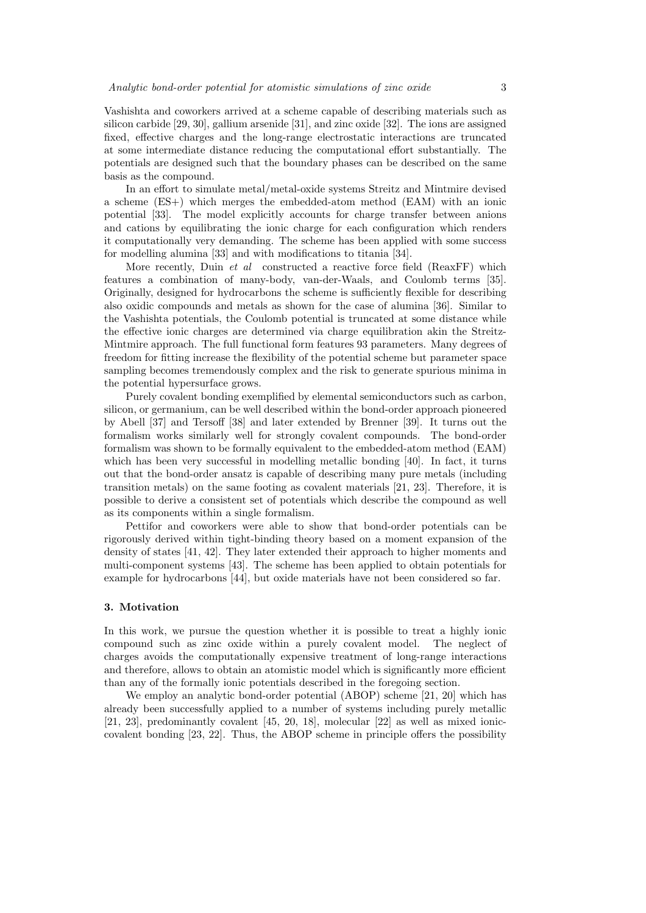Vashishta and coworkers arrived at a scheme capable of describing materials such as silicon carbide [29, 30], gallium arsenide [31], and zinc oxide [32]. The ions are assigned fixed, effective charges and the long-range electrostatic interactions are truncated at some intermediate distance reducing the computational effort substantially. The potentials are designed such that the boundary phases can be described on the same basis as the compound.

In an effort to simulate metal/metal-oxide systems Streitz and Mintmire devised a scheme (ES+) which merges the embedded-atom method (EAM) with an ionic potential [33]. The model explicitly accounts for charge transfer between anions and cations by equilibrating the ionic charge for each configuration which renders it computationally very demanding. The scheme has been applied with some success for modelling alumina [33] and with modifications to titania [34].

More recently, Duin et al constructed a reactive force field (ReaxFF) which features a combination of many-body, van-der-Waals, and Coulomb terms [35]. Originally, designed for hydrocarbons the scheme is sufficiently flexible for describing also oxidic compounds and metals as shown for the case of alumina [36]. Similar to the Vashishta potentials, the Coulomb potential is truncated at some distance while the effective ionic charges are determined via charge equilibration akin the Streitz-Mintmire approach. The full functional form features 93 parameters. Many degrees of freedom for fitting increase the flexibility of the potential scheme but parameter space sampling becomes tremendously complex and the risk to generate spurious minima in the potential hypersurface grows.

Purely covalent bonding exemplified by elemental semiconductors such as carbon, silicon, or germanium, can be well described within the bond-order approach pioneered by Abell [37] and Tersoff [38] and later extended by Brenner [39]. It turns out the formalism works similarly well for strongly covalent compounds. The bond-order formalism was shown to be formally equivalent to the embedded-atom method (EAM) which has been very successful in modelling metallic bonding [40]. In fact, it turns out that the bond-order ansatz is capable of describing many pure metals (including transition metals) on the same footing as covalent materials [21, 23]. Therefore, it is possible to derive a consistent set of potentials which describe the compound as well as its components within a single formalism.

Pettifor and coworkers were able to show that bond-order potentials can be rigorously derived within tight-binding theory based on a moment expansion of the density of states [41, 42]. They later extended their approach to higher moments and multi-component systems [43]. The scheme has been applied to obtain potentials for example for hydrocarbons [44], but oxide materials have not been considered so far.

#### 3. Motivation

In this work, we pursue the question whether it is possible to treat a highly ionic compound such as zinc oxide within a purely covalent model. The neglect of charges avoids the computationally expensive treatment of long-range interactions and therefore, allows to obtain an atomistic model which is significantly more efficient than any of the formally ionic potentials described in the foregoing section.

We employ an analytic bond-order potential (ABOP) scheme [21, 20] which has already been successfully applied to a number of systems including purely metallic [21, 23], predominantly covalent [45, 20, 18], molecular [22] as well as mixed ioniccovalent bonding [23, 22]. Thus, the ABOP scheme in principle offers the possibility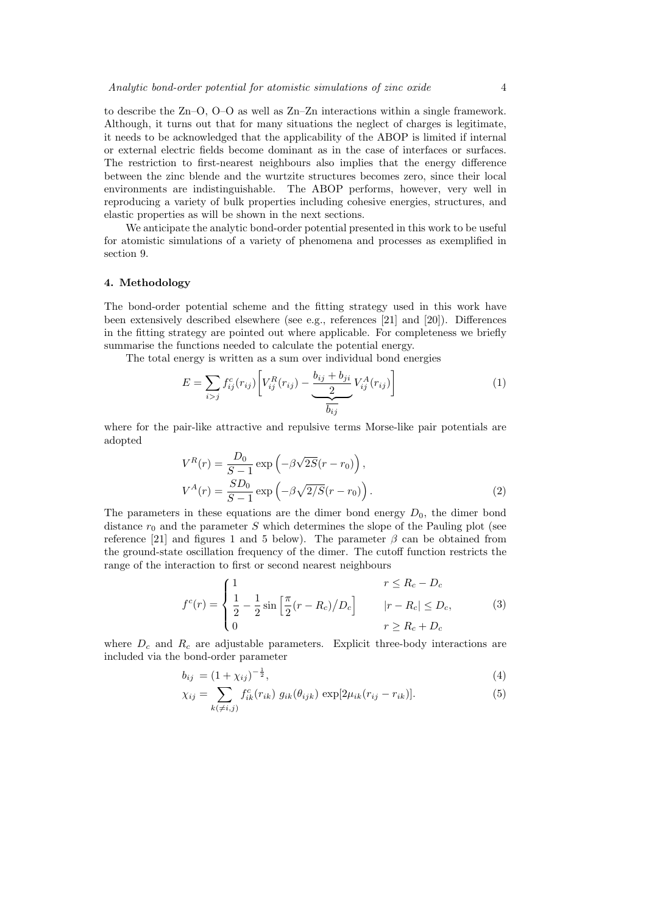to describe the Zn–O, O–O as well as Zn–Zn interactions within a single framework. Although, it turns out that for many situations the neglect of charges is legitimate, it needs to be acknowledged that the applicability of the ABOP is limited if internal or external electric fields become dominant as in the case of interfaces or surfaces. The restriction to first-nearest neighbours also implies that the energy difference between the zinc blende and the wurtzite structures becomes zero, since their local environments are indistinguishable. The ABOP performs, however, very well in reproducing a variety of bulk properties including cohesive energies, structures, and elastic properties as will be shown in the next sections.

We anticipate the analytic bond-order potential presented in this work to be useful for atomistic simulations of a variety of phenomena and processes as exemplified in section 9.

#### 4. Methodology

The bond-order potential scheme and the fitting strategy used in this work have been extensively described elsewhere (see e.g., references [21] and [20]). Differences in the fitting strategy are pointed out where applicable. For completeness we briefly summarise the functions needed to calculate the potential energy.

The total energy is written as a sum over individual bond energies

$$
E = \sum_{i>j} f_{ij}^c(r_{ij}) \left[ V_{ij}^R(r_{ij}) - \frac{b_{ij} + b_{ji}}{2} V_{ij}^A(r_{ij}) \right]
$$
 (1)

where for the pair-like attractive and repulsive terms Morse-like pair potentials are adopted

$$
V^{R}(r) = \frac{D_{0}}{S-1} \exp\left(-\beta\sqrt{2S}(r-r_{0})\right),
$$
  
\n
$$
V^{A}(r) = \frac{SD_{0}}{S-1} \exp\left(-\beta\sqrt{2/S}(r-r_{0})\right).
$$
\n(2)

The parameters in these equations are the dimer bond energy  $D_0$ , the dimer bond distance  $r_0$  and the parameter S which determines the slope of the Pauling plot (see reference [21] and figures 1 and 5 below). The parameter  $\beta$  can be obtained from the ground-state oscillation frequency of the dimer. The cutoff function restricts the range of the interaction to first or second nearest neighbours

$$
f^{c}(r) = \begin{cases} 1 & r \le R_{c} - D_{c} \\ \frac{1}{2} - \frac{1}{2} \sin\left[\frac{\pi}{2}(r - R_{c})/D_{c}\right] & |r - R_{c}| \le D_{c}, \\ 0 & r \ge R_{c} + D_{c} \end{cases}
$$
(3)

where  $D_c$  and  $R_c$  are adjustable parameters. Explicit three-body interactions are included via the bond-order parameter

$$
b_{ij} = (1 + \chi_{ij})^{-\frac{1}{2}},\tag{4}
$$

$$
\chi_{ij} = \sum_{k(\neq i,j)} f_{ik}^c(r_{ik}) \ g_{ik}(\theta_{ijk}) \ \exp[2\mu_{ik}(r_{ij} - r_{ik})]. \tag{5}
$$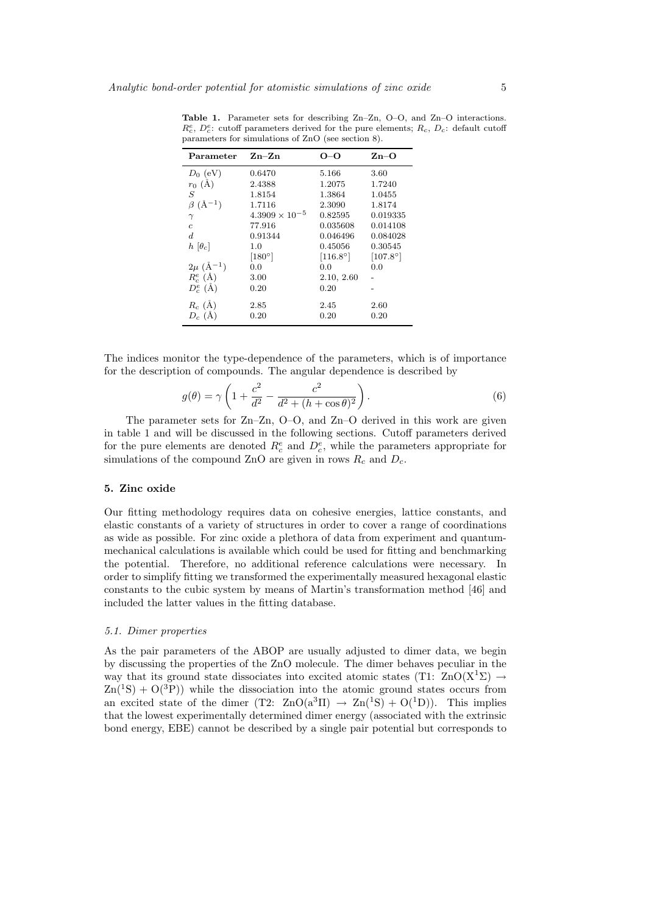| Parameter                   | $Zn-Zn$                 | O-O             | $\mathbf{Zn}\!-\!\mathbf{O}$ |
|-----------------------------|-------------------------|-----------------|------------------------------|
| $D_0$ (eV)                  | 0.6470                  | 5.166           | 3.60                         |
| $r_0$ (Å)                   | 2.4388                  | 1.2075          | 1.7240                       |
| S                           | 1.8154                  | 1.3864          | 1.0455                       |
| $\beta$ (Å <sup>-1</sup> )  | 1.7116                  | 2.3090          | 1.8174                       |
| $\gamma$                    | $4.3909 \times 10^{-5}$ | 0.82595         | 0.019335                     |
| $\overline{c}$              | 77.916                  | 0.035608        | 0.014108                     |
| $\boldsymbol{d}$            | 0.91344                 | 0.046496        | 0.084028                     |
| $h \left[ \theta_c \right]$ | 1.0                     | 0.45056         | 0.30545                      |
|                             | $[180^\circ]$           | $[116.8^\circ]$ | $[107.8^\circ]$              |
| $2\mu$ (Å <sup>-1</sup> )   | 0.0                     | 0.0             | 0.0                          |
| $R_c^e$ (Å)                 | 3.00                    | 2.10, 2.60      |                              |
| $D_c^e(\AA)$                | 0.20                    | 0.20            |                              |
| $R_c$ (Å)                   | 2.85                    | 2.45            | 2.60                         |
| $D_c(A)$                    | 0.20                    | 0.20            | 0.20                         |

Table 1. Parameter sets for describing Zn–Zn, O–O, and Zn–O interactions.  $R_c^e$ ,  $D_c^e$ : cutoff parameters derived for the pure elements;  $R_c$ ,  $D_c$ : default cutoff parameters for simulations of ZnO (see section 8).

The indices monitor the type-dependence of the parameters, which is of importance for the description of compounds. The angular dependence is described by

$$
g(\theta) = \gamma \left( 1 + \frac{c^2}{d^2} - \frac{c^2}{d^2 + (h + \cos \theta)^2} \right).
$$
 (6)

The parameter sets for Zn–Zn, O–O, and Zn–O derived in this work are given in table 1 and will be discussed in the following sections. Cutoff parameters derived for the pure elements are denoted  $R_c^e$  and  $D_c^e$ , while the parameters appropriate for simulations of the compound ZnO are given in rows  $R_c$  and  $D_c$ .

## 5. Zinc oxide

Our fitting methodology requires data on cohesive energies, lattice constants, and elastic constants of a variety of structures in order to cover a range of coordinations as wide as possible. For zinc oxide a plethora of data from experiment and quantummechanical calculations is available which could be used for fitting and benchmarking the potential. Therefore, no additional reference calculations were necessary. In order to simplify fitting we transformed the experimentally measured hexagonal elastic constants to the cubic system by means of Martin's transformation method [46] and included the latter values in the fitting database.

## 5.1. Dimer properties

As the pair parameters of the ABOP are usually adjusted to dimer data, we begin by discussing the properties of the ZnO molecule. The dimer behaves peculiar in the way that its ground state dissociates into excited atomic states (T1:  $\text{ZnO}(X^1\Sigma) \rightarrow$  $Zn(^{1}S) + O(^{3}P)$ ) while the dissociation into the atomic ground states occurs from an excited state of the dimer (T2:  $\text{ZnO}(a^3\Pi) \rightarrow \text{Zn}({}^1S) + \text{O}({}^1D)$ ). This implies that the lowest experimentally determined dimer energy (associated with the extrinsic bond energy, EBE) cannot be described by a single pair potential but corresponds to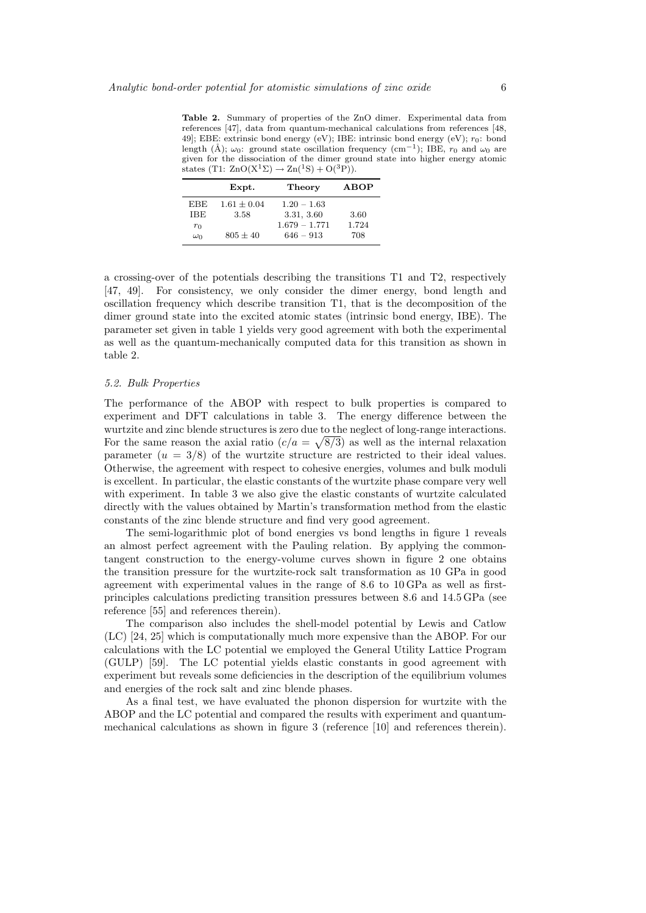Table 2. Summary of properties of the ZnO dimer. Experimental data from references [47], data from quantum-mechanical calculations from references [48, 49]; EBE: extrinsic bond energy (eV); IBE: intrinsic bond energy (eV);  $r_0$ : bond length (Å);  $\omega_0$ : ground state oscillation frequency (cm<sup>-1</sup>); IBE,  $r_0$  and  $\omega_0$  are given for the dissociation of the dimer ground state into higher energy atomic states (T1:  $\text{ZnO}(X^1\Sigma) \rightarrow \text{Zn}(^1S) + \text{O}(^3P)$ ).

|            | Expt.         | Theory          | ABOP  |
|------------|---------------|-----------------|-------|
| <b>EBE</b> | $1.61 + 0.04$ | $1.20 - 1.63$   |       |
| IBE        | 3.58          | 3.31, 3.60      | 3.60  |
| $r_0$      |               | $1.679 - 1.771$ | 1.724 |
| $\omega_0$ | $805 + 40$    | $646 - 913$     | 708   |

a crossing-over of the potentials describing the transitions T1 and T2, respectively [47, 49]. For consistency, we only consider the dimer energy, bond length and oscillation frequency which describe transition T1, that is the decomposition of the dimer ground state into the excited atomic states (intrinsic bond energy, IBE). The parameter set given in table 1 yields very good agreement with both the experimental as well as the quantum-mechanically computed data for this transition as shown in table 2.

## 5.2. Bulk Properties

The performance of the ABOP with respect to bulk properties is compared to experiment and DFT calculations in table 3. The energy difference between the wurtzite and zinc blende structures is zero due to the neglect of long-range interactions. For the same reason the axial ratio  $(c/a = \sqrt{8/3})$  as well as the internal relaxation parameter  $(u = 3/8)$  of the wurtzite structure are restricted to their ideal values. Otherwise, the agreement with respect to cohesive energies, volumes and bulk moduli is excellent. In particular, the elastic constants of the wurtzite phase compare very well with experiment. In table 3 we also give the elastic constants of wurtzite calculated directly with the values obtained by Martin's transformation method from the elastic constants of the zinc blende structure and find very good agreement.

The semi-logarithmic plot of bond energies vs bond lengths in figure 1 reveals an almost perfect agreement with the Pauling relation. By applying the commontangent construction to the energy-volume curves shown in figure 2 one obtains the transition pressure for the wurtzite-rock salt transformation as 10 GPa in good agreement with experimental values in the range of 8.6 to 10 GPa as well as firstprinciples calculations predicting transition pressures between 8.6 and 14.5 GPa (see reference [55] and references therein).

The comparison also includes the shell-model potential by Lewis and Catlow (LC) [24, 25] which is computationally much more expensive than the ABOP. For our calculations with the LC potential we employed the General Utility Lattice Program (GULP) [59]. The LC potential yields elastic constants in good agreement with experiment but reveals some deficiencies in the description of the equilibrium volumes and energies of the rock salt and zinc blende phases.

As a final test, we have evaluated the phonon dispersion for wurtzite with the ABOP and the LC potential and compared the results with experiment and quantummechanical calculations as shown in figure 3 (reference [10] and references therein).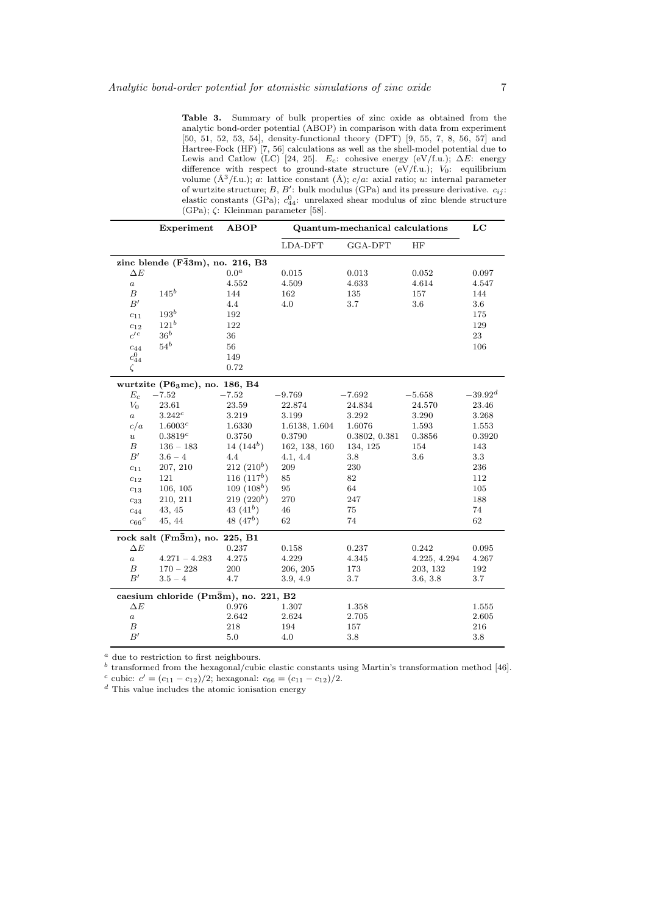Table 3. Summary of bulk properties of zinc oxide as obtained from the analytic bond-order potential (ABOP) in comparison with data from experiment [50, 51, 52, 53, 54], density-functional theory (DFT) [9, 55, 7, 8, 56, 57] and Hartree-Fock (HF) [7, 56] calculations as well as the shell-model potential due to Lewis and Catlow (LC) [24, 25]. E<sub>c</sub>: cohesive energy (eV/f.u.);  $\Delta E$ : energy difference with respect to ground-state structure (eV/f.u.);  $V_0$ : equilibrium volume  $(\AA^3/f.u.); a: lattice constant  $(\AA); c/a$ : axial ratio; u: internal parameter$ of wurtzite structure; B, B': bulk modulus (GPa) and its pressure derivative.  $c_{ij}$ : elastic constants (GPa);  $c_{44}^0$ : unrelaxed shear modulus of zinc blende structure (GPa); ζ: Kleinman parameter [58].

|                  | Experiment                                  | <b>ABOP</b>            | Quantum-mechanical calculations | LC            |              |              |  |
|------------------|---------------------------------------------|------------------------|---------------------------------|---------------|--------------|--------------|--|
|                  |                                             |                        | LDA-DFT                         | GGA-DFT       | HF           |              |  |
|                  | zinc blende $(F\bar{4}3m)$ , no. 216, B3    |                        |                                 |               |              |              |  |
| $\Delta E$       |                                             | $0.0^a$                | 0.015                           | 0.013         | 0.052        | 0.097        |  |
| $\boldsymbol{a}$ |                                             | 4.552                  | 4.509                           | 4.633         | 4.614        | 4.547        |  |
| $\boldsymbol{B}$ | $145^b$                                     | 144                    | 162                             | 135           | 157          | 144          |  |
| B'               |                                             | 4.4                    | 4.0                             | 3.7           | 3.6          | 3.6          |  |
| $c_{11}$         | $193^b$                                     | 192                    |                                 |               |              | 175          |  |
| $c_{12}$         | $121^b$                                     | 122                    |                                 |               |              | 129          |  |
| $c^{\prime c}$   | $36^b$                                      | 36                     |                                 |               |              | 23           |  |
| $c_{44}$         | $54^b$                                      | 56                     |                                 |               |              | 106          |  |
| $c_{44}^0$       |                                             | 149                    |                                 |               |              |              |  |
| $\zeta$          |                                             | 0.72                   |                                 |               |              |              |  |
|                  | wurtzite ( $P63mc$ ), no. 186, B4           |                        |                                 |               |              |              |  |
| $E_c$            | $-7.52$                                     | $-7.52$                | $-9.769$                        | $-7.692$      | $-5.658$     | $-39.92^{d}$ |  |
| $V_0$            | $23.61\,$                                   | 23.59                  | 22.874                          | 24.834        | 24.570       | 23.46        |  |
| $\it a$          | $3.242^c$                                   | 3.219                  | 3.199                           | 3.292         | 3.290        | 3.268        |  |
| c/a              | 1.6003 <sup>c</sup>                         | 1.6330                 | 1.6138, 1.604                   | 1.6076        | 1.593        | 1.553        |  |
| $\boldsymbol{u}$ | $0.3819^{c}$                                | 0.3750                 | 0.3790                          | 0.3802, 0.381 | 0.3856       | 0.3920       |  |
| В                | $136 - 183$                                 | 14 $(144^b)$           | 162, 138, 160                   | 134, 125      | 154          | 143          |  |
| B'               | $3.6 - 4$                                   | 4.4                    | 4.1, 4.4                        | $3.8\,$       | 3.6          | 3.3          |  |
| $c_{11}$         | 207, 210                                    | 212(210 <sup>b</sup> ) | 209                             | 230           |              | 236          |  |
| $c_{12}$         | 121                                         | 116(117 <sup>b</sup> ) | 85                              | 82            |              | 112          |  |
| $c_{13}$         | 106, 105                                    | $109(108^b)$           | 95                              | 64            |              | 105          |  |
| $c_{33}$         | 210, 211                                    | $219(220^b)$           | 270                             | 247           |              | 188          |  |
| $c_{44}$         | 43, 45                                      | 43 $(41^b)$            | 46                              | 75            |              | 74           |  |
| ${c_{66}}^c$     | 45, 44                                      | 48 $(47b)$             | 62                              | 74            |              | 62           |  |
|                  | rock salt $(Fm\overline{3}m)$ , no. 225, B1 |                        |                                 |               |              |              |  |
| $\Delta E$       |                                             | 0.237                  | 0.158                           | 0.237         | 0.242        | 0.095        |  |
| $\boldsymbol{a}$ | $4.271 - 4.283$                             | 4.275                  | 4.229                           | 4.345         | 4.225, 4.294 | 4.267        |  |
| В                | $170 - 228$                                 | 200                    | 206, 205                        | 173           | 203, 132     | 192          |  |
| B'               | $3.5 - 4$                                   | 4.7                    | 3.9, 4.9                        | 3.7           | 3.6, 3.8     | 3.7          |  |
|                  | caesium chloride (Pm3m), no. 221, B2        |                        |                                 |               |              |              |  |
| $\Delta E$       |                                             | 0.976                  | 1.307                           | 1.358         |              | 1.555        |  |
| $\boldsymbol{a}$ |                                             | 2.642                  | 2.624                           | 2.705         |              | 2.605        |  |
| В                |                                             | 218                    | 194                             | 157           |              | 216          |  |
| $B^\prime$       |                                             | 5.0                    | 4.0                             | 3.8           |              | 3.8          |  |

 $\emph{a}$  due to restriction to first neighbours.

 $^b$  transformed from the hexagonal/cubic elastic constants using Martin's transformation method [46]. c cubic:  $c' = (c_{11} - c_{12})/2$ ; hexagonal:  $c_{66} = (c_{11} - c_{12})/2$ .

 $d$  This value includes the atomic ionisation energy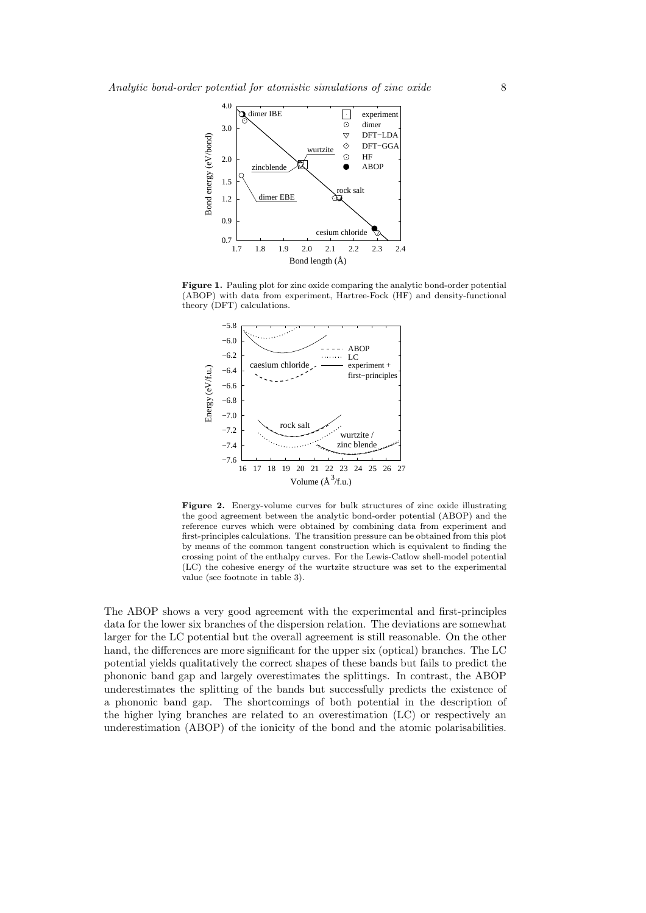

Figure 1. Pauling plot for zinc oxide comparing the analytic bond-order potential (ABOP) with data from experiment, Hartree-Fock (HF) and density-functional theory (DFT) calculations.



Figure 2. Energy-volume curves for bulk structures of zinc oxide illustrating the good agreement between the analytic bond-order potential (ABOP) and the reference curves which were obtained by combining data from experiment and first-principles calculations. The transition pressure can be obtained from this plot by means of the common tangent construction which is equivalent to finding the crossing point of the enthalpy curves. For the Lewis-Catlow shell-model potential (LC) the cohesive energy of the wurtzite structure was set to the experimental value (see footnote in table 3).

The ABOP shows a very good agreement with the experimental and first-principles data for the lower six branches of the dispersion relation. The deviations are somewhat larger for the LC potential but the overall agreement is still reasonable. On the other hand, the differences are more significant for the upper six (optical) branches. The LC potential yields qualitatively the correct shapes of these bands but fails to predict the phononic band gap and largely overestimates the splittings. In contrast, the ABOP underestimates the splitting of the bands but successfully predicts the existence of a phononic band gap. The shortcomings of both potential in the description of the higher lying branches are related to an overestimation (LC) or respectively an underestimation (ABOP) of the ionicity of the bond and the atomic polarisabilities.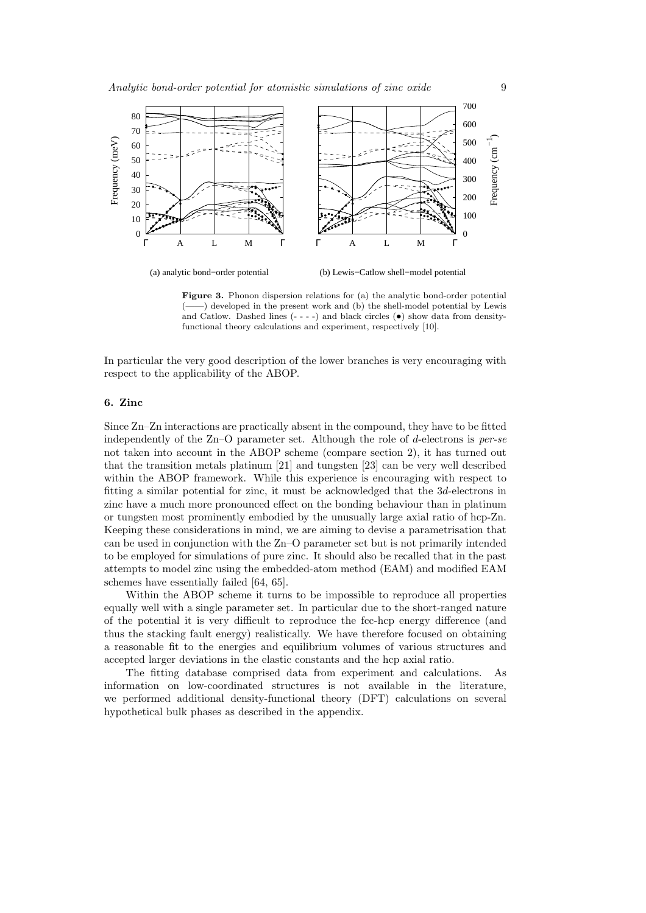

(b) Lewis−Catlow shell−model potential

Figure 3. Phonon dispersion relations for (a) the analytic bond-order potential (——) developed in the present work and (b) the shell-model potential by Lewis and Catlow. Dashed lines  $(- - -)$  and black circles  $(•)$  show data from densityfunctional theory calculations and experiment, respectively [10].

In particular the very good description of the lower branches is very encouraging with respect to the applicability of the ABOP.

## 6. Zinc

Since Zn–Zn interactions are practically absent in the compound, they have to be fitted independently of the Zn–O parameter set. Although the role of d-electrons is  $per-se$ not taken into account in the ABOP scheme (compare section 2), it has turned out that the transition metals platinum [21] and tungsten [23] can be very well described within the ABOP framework. While this experience is encouraging with respect to fitting a similar potential for zinc, it must be acknowledged that the 3d-electrons in zinc have a much more pronounced effect on the bonding behaviour than in platinum or tungsten most prominently embodied by the unusually large axial ratio of hcp-Zn. Keeping these considerations in mind, we are aiming to devise a parametrisation that can be used in conjunction with the Zn–O parameter set but is not primarily intended to be employed for simulations of pure zinc. It should also be recalled that in the past attempts to model zinc using the embedded-atom method (EAM) and modified EAM schemes have essentially failed [64, 65].

Within the ABOP scheme it turns to be impossible to reproduce all properties equally well with a single parameter set. In particular due to the short-ranged nature of the potential it is very difficult to reproduce the fcc-hcp energy difference (and thus the stacking fault energy) realistically. We have therefore focused on obtaining a reasonable fit to the energies and equilibrium volumes of various structures and accepted larger deviations in the elastic constants and the hcp axial ratio.

The fitting database comprised data from experiment and calculations. As information on low-coordinated structures is not available in the literature, we performed additional density-functional theory (DFT) calculations on several hypothetical bulk phases as described in the appendix.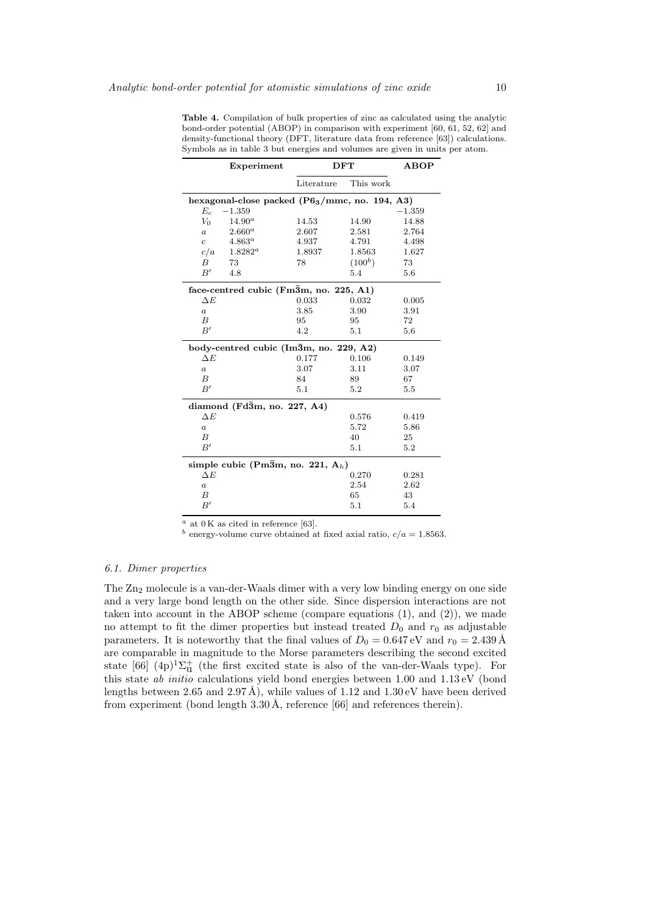|                                                         | Experiment                             | <b>DFT</b> |           | <b>ABOP</b> |  |
|---------------------------------------------------------|----------------------------------------|------------|-----------|-------------|--|
|                                                         |                                        | Literature | This work |             |  |
| hexagonal-close packed $(P6_3/mmc, no. 194, A3)$        |                                        |            |           |             |  |
| $E_c$                                                   | $-1.359$                               |            |           | $-1.359$    |  |
| $V_0$                                                   | $14.90^{a}$                            | 14.53      | 14.90     | 14.88       |  |
| $\boldsymbol{a}$                                        | $2.660^a$                              | 2.607      | 2.581     | 2.764       |  |
| $\overline{c}$                                          | $4.863^a$                              | 4.937      | 4.791     | 4.498       |  |
| c/a                                                     | $1.8282^a$                             | 1.8937     | 1.8563    | 1.627       |  |
| B                                                       | 73                                     | 78         | $(100^b)$ | 73          |  |
| B'                                                      | 4.8                                    |            | 5.4       | 5.6         |  |
|                                                         | face-centred cubic (Fm3m, no. 225, A1) |            |           |             |  |
| $\Delta E$                                              |                                        | 0.033      | 0.032     | 0.005       |  |
| $\boldsymbol{a}$                                        |                                        | 3.85       | 3.90      | 3.91        |  |
| B                                                       |                                        | 95         | 95        | 72          |  |
| B'                                                      |                                        | 4.2        | 5.1       | 5.6         |  |
|                                                         | body-centred cubic (Im3m, no. 229, A2) |            |           |             |  |
| $\Delta E$                                              |                                        | 0.177      | 0.106     | 0.149       |  |
| $\boldsymbol{a}$                                        |                                        | 3.07       | 3.11      | 3.07        |  |
| B                                                       |                                        | 84         | 89        | 67          |  |
| B'                                                      |                                        | 5.1        | 5.2       | 5.5         |  |
| diamond ( $Fd\overline{3}m$ , no. 227, A4)              |                                        |            |           |             |  |
| $\Delta E$                                              |                                        |            | 0.576     | 0.419       |  |
| $\boldsymbol{a}$                                        |                                        |            | 5.72      | 5.86        |  |
| В                                                       |                                        |            | 40        | 25          |  |
| B'                                                      |                                        |            | 5.1       | 5.2         |  |
| simple cubic (Pm $\bar{3}$ m, no. 221, A <sub>h</sub> ) |                                        |            |           |             |  |
| $\Delta E$                                              |                                        |            | 0.270     | 0.281       |  |
| $\boldsymbol{a}$                                        |                                        |            | 2.54      | 2.62        |  |
| В                                                       |                                        |            | 65        | 43          |  |
| B'                                                      |                                        |            | 5.1       | 5.4         |  |

Table 4. Compilation of bulk properties of zinc as calculated using the analytic bond-order potential (ABOP) in comparison with experiment [60, 61, 52, 62] and density-functional theory (DFT, literature data from reference [63]) calculations. Symbols as in table 3 but energies and volumes are given in units per atom.

 $a$  at 0 K as cited in reference [63].

 $\real^b$  energy-volume curve obtained at fixed axial ratio,  $c/a=1.8563.$ 

## 6.1. Dimer properties

The Zn<sup>2</sup> molecule is a van-der-Waals dimer with a very low binding energy on one side and a very large bond length on the other side. Since dispersion interactions are not taken into account in the ABOP scheme (compare equations  $(1)$ , and  $(2)$ ), we made no attempt to fit the dimer properties but instead treated  $D_0$  and  $r_0$  as adjustable parameters. It is noteworthy that the final values of  $D_0 = 0.647 \,\text{eV}$  and  $r_0 = 2.439 \,\text{\AA}$ are comparable in magnitude to the Morse parameters describing the second excited state [66]  $(4p)^{1}\Sigma_{u}^{+}$  (the first excited state is also of the van-der-Waals type). For this state ab initio calculations yield bond energies between 1.00 and 1.13 eV (bond lengths between 2.65 and 2.97 Å), while values of 1.12 and  $1.30 \text{ eV}$  have been derived from experiment (bond length  $3.30 \text{ Å}$ , reference [66] and references therein).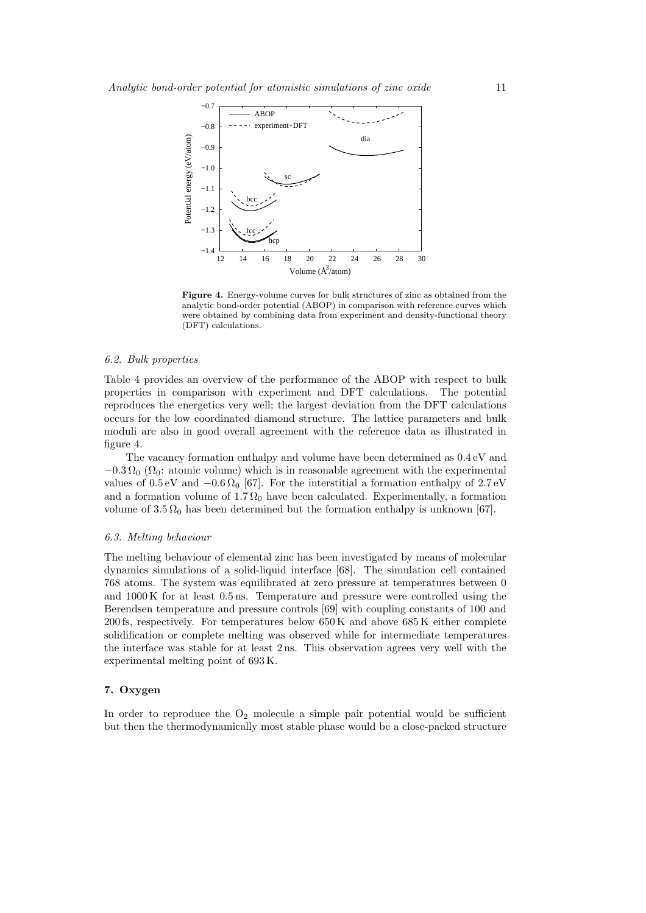

Figure 4. Energy-volume curves for bulk structures of zinc as obtained from the analytic bond-order potential (ABOP) in comparison with reference curves which were obtained by combining data from experiment and density-functional theory (DFT) calculations.

## 6.2. Bulk properties

Table 4 provides an overview of the performance of the ABOP with respect to bulk properties in comparison with experiment and DFT calculations. The potential reproduces the energetics very well; the largest deviation from the DFT calculations occurs for the low coordinated diamond structure. The lattice parameters and bulk moduli are also in good overall agreement with the reference data as illustrated in figure 4.

The vacancy formation enthalpy and volume have been determined as 0.4 eV and  $-0.3 \Omega_0 (\Omega_0;$  atomic volume) which is in reasonable agreement with the experimental values of 0.5 eV and  $-0.6 \Omega_0$  [67]. For the interstitial a formation enthalpy of 2.7 eV and a formation volume of 1.7  $\Omega_0$  have been calculated. Experimentally, a formation volume of  $3.5 \Omega_0$  has been determined but the formation enthalpy is unknown [67].

#### 6.3. Melting behaviour

The melting behaviour of elemental zinc has been investigated by means of molecular dynamics simulations of a solid-liquid interface [68]. The simulation cell contained 768 atoms. The system was equilibrated at zero pressure at temperatures between 0 and 1000 K for at least 0.5 ns. Temperature and pressure were controlled using the Berendsen temperature and pressure controls [69] with coupling constants of 100 and 200 fs, respectively. For temperatures below  $650\,\mathrm{K}$  and above  $685\,\mathrm{K}$  either complete solidification or complete melting was observed while for intermediate temperatures the interface was stable for at least 2 ns. This observation agrees very well with the experimental melting point of 693 K.

## 7. Oxygen

In order to reproduce the  $O_2$  molecule a simple pair potential would be sufficient but then the thermodynamically most stable phase would be a close-packed structure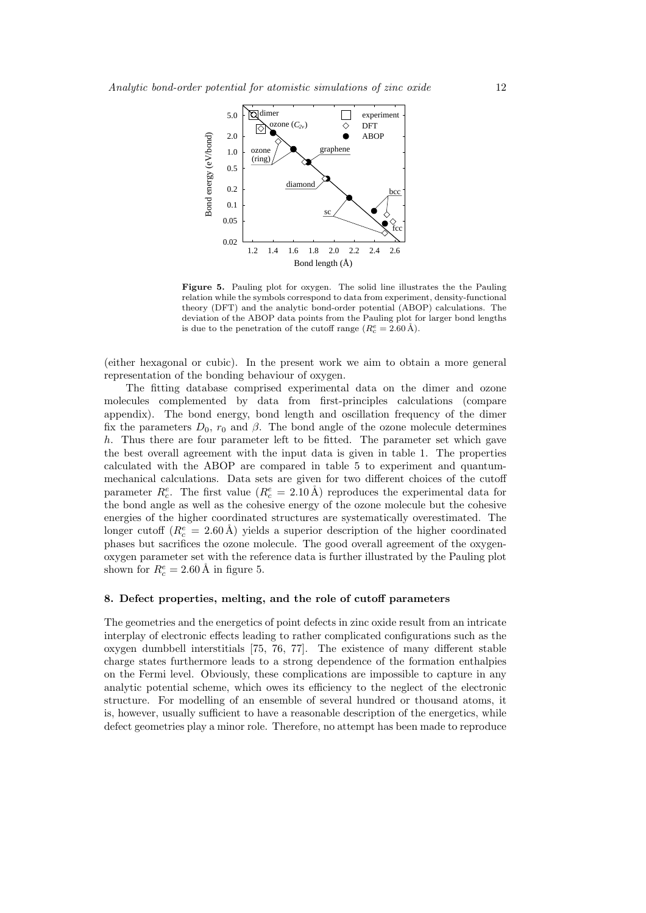

Figure 5. Pauling plot for oxygen. The solid line illustrates the the Pauling relation while the symbols correspond to data from experiment, density-functional theory (DFT) and the analytic bond-order potential (ABOP) calculations. The deviation of the ABOP data points from the Pauling plot for larger bond lengths is due to the penetration of the cutoff range  $(R_c^e = 2.60 \text{ Å}).$ 

(either hexagonal or cubic). In the present work we aim to obtain a more general representation of the bonding behaviour of oxygen.

The fitting database comprised experimental data on the dimer and ozone molecules complemented by data from first-principles calculations (compare appendix). The bond energy, bond length and oscillation frequency of the dimer fix the parameters  $D_0$ ,  $r_0$  and  $\beta$ . The bond angle of the ozone molecule determines h. Thus there are four parameter left to be fitted. The parameter set which gave the best overall agreement with the input data is given in table 1. The properties calculated with the ABOP are compared in table 5 to experiment and quantummechanical calculations. Data sets are given for two different choices of the cutoff parameter  $R_c^e$ . The first value  $(R_c^e = 2.10 \text{ Å})$  reproduces the experimental data for the bond angle as well as the cohesive energy of the ozone molecule but the cohesive energies of the higher coordinated structures are systematically overestimated. The longer cutoff  $(R_c^e = 2.60 \text{ Å})$  yields a superior description of the higher coordinated phases but sacrifices the ozone molecule. The good overall agreement of the oxygenoxygen parameter set with the reference data is further illustrated by the Pauling plot shown for  $R_c^e = 2.60 \text{ Å}$  in figure 5.

## 8. Defect properties, melting, and the role of cutoff parameters

The geometries and the energetics of point defects in zinc oxide result from an intricate interplay of electronic effects leading to rather complicated configurations such as the oxygen dumbbell interstitials [75, 76, 77]. The existence of many different stable charge states furthermore leads to a strong dependence of the formation enthalpies on the Fermi level. Obviously, these complications are impossible to capture in any analytic potential scheme, which owes its efficiency to the neglect of the electronic structure. For modelling of an ensemble of several hundred or thousand atoms, it is, however, usually sufficient to have a reasonable description of the energetics, while defect geometries play a minor role. Therefore, no attempt has been made to reproduce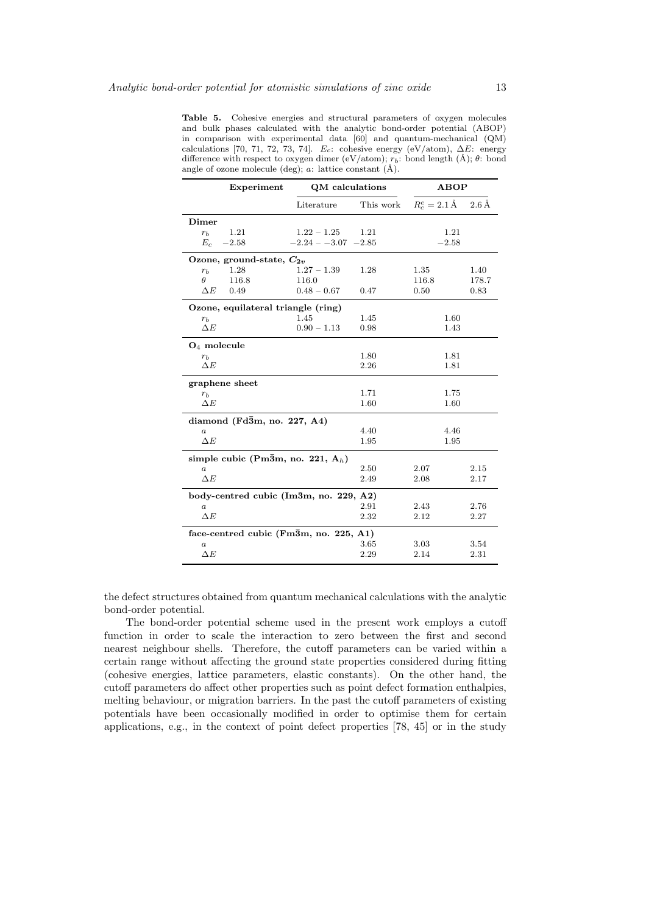Table 5. Cohesive energies and structural parameters of oxygen molecules and bulk phases calculated with the analytic bond-order potential (ABOP) in comparison with experimental data [60] and quantum-mechanical (QM) calculations [70, 71, 72, 73, 74]. E<sub>c</sub>: cohesive energy (eV/atom),  $\Delta E$ : energy difference with respect to oxygen dimer (eV/atom);  $r_b$ : bond length (Å);  $\theta$ : bond angle of ozone molecule (deg);  $a$ : lattice constant (Å).

| Experiment                                        | QM calculations                                         |           | <b>ABOP</b>             |                     |  |  |  |
|---------------------------------------------------|---------------------------------------------------------|-----------|-------------------------|---------------------|--|--|--|
|                                                   | Literature                                              | This work | $R_c^e = 2.1 \text{ Å}$ | $2.6\,\mathrm{\AA}$ |  |  |  |
| Dimer                                             |                                                         |           |                         |                     |  |  |  |
| 1.21<br>r <sub>b</sub>                            | $1.22 - 1.25$                                           | 1.21      | 1.21                    |                     |  |  |  |
| $E_c$<br>$-2.58$                                  | $-2.24 - -3.07 -2.85$                                   |           | $-2.58$                 |                     |  |  |  |
| Ozone, ground-state, $C_{2v}$                     |                                                         |           |                         |                     |  |  |  |
| 1.28<br>$r_b$                                     | $1.27 - 1.39$                                           | 1.28      | 1.35                    | 1.40                |  |  |  |
| θ<br>116.8                                        | 116.0                                                   |           | 116.8                   | 178.7               |  |  |  |
| $\Delta E$<br>0.49                                | $0.48 - 0.67$                                           | 0.47      | 0.50                    | 0.83                |  |  |  |
| Ozone, equilateral triangle (ring)                |                                                         |           |                         |                     |  |  |  |
| $r_b$                                             | 1.45                                                    | 1.45      | 1.60                    |                     |  |  |  |
| $\Delta E$                                        | $0.90 - 1.13$                                           | 0.98      | 1.43                    |                     |  |  |  |
| $O_4$ molecule                                    |                                                         |           |                         |                     |  |  |  |
| $r_{h}$                                           |                                                         | 1.80      | 1.81                    |                     |  |  |  |
| $\Delta E$                                        |                                                         | 2.26      | 1.81                    |                     |  |  |  |
| graphene sheet                                    |                                                         |           |                         |                     |  |  |  |
| $r_b$                                             |                                                         | 1.71      | 1.75                    |                     |  |  |  |
| $\Delta E$                                        |                                                         | 1.60      | 1.60                    |                     |  |  |  |
| diamond ( $Fd\overline{3}m$ , no. 227, A4)        |                                                         |           |                         |                     |  |  |  |
| $\boldsymbol{a}$                                  |                                                         | 4.40      | 4.46                    |                     |  |  |  |
| $\Delta E$                                        |                                                         | 1.95      | 1.95                    |                     |  |  |  |
|                                                   | simple cubic (Pm $\bar{3}$ m, no. 221, A <sub>h</sub> ) |           |                         |                     |  |  |  |
| $\boldsymbol{a}$                                  |                                                         | 2.50      | 2.07                    | 2.15                |  |  |  |
| $\Delta E$                                        |                                                         | 2.49      | 2.08                    | 2.17                |  |  |  |
| body-centred cubic (Im3m, no. 229, A2)            |                                                         |           |                         |                     |  |  |  |
| $\boldsymbol{a}$                                  |                                                         | 2.91      | 2.43                    | 2.76                |  |  |  |
| $\Delta E$                                        |                                                         | 2.32      | 2.12                    | 2.27                |  |  |  |
| face-centred cubic ( $\text{Fm3m}$ , no. 225, A1) |                                                         |           |                         |                     |  |  |  |
| $\it a$                                           |                                                         | 3.65      | 3.03                    | 3.54                |  |  |  |
| $\Delta E$                                        |                                                         | 2.29      | 2.14                    | 2.31                |  |  |  |

the defect structures obtained from quantum mechanical calculations with the analytic bond-order potential.

The bond-order potential scheme used in the present work employs a cutoff function in order to scale the interaction to zero between the first and second nearest neighbour shells. Therefore, the cutoff parameters can be varied within a certain range without affecting the ground state properties considered during fitting (cohesive energies, lattice parameters, elastic constants). On the other hand, the cutoff parameters do affect other properties such as point defect formation enthalpies, melting behaviour, or migration barriers. In the past the cutoff parameters of existing potentials have been occasionally modified in order to optimise them for certain applications, e.g., in the context of point defect properties [78, 45] or in the study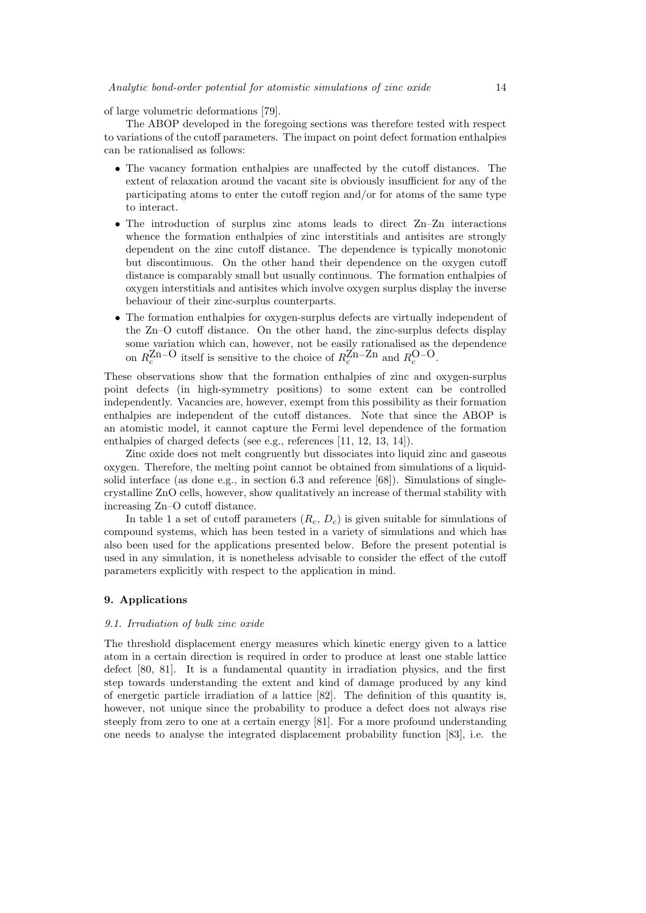of large volumetric deformations [79].

The ABOP developed in the foregoing sections was therefore tested with respect to variations of the cutoff parameters. The impact on point defect formation enthalpies can be rationalised as follows:

- The vacancy formation enthalpies are unaffected by the cutoff distances. The extent of relaxation around the vacant site is obviously insufficient for any of the participating atoms to enter the cutoff region and/or for atoms of the same type to interact.
- The introduction of surplus zinc atoms leads to direct Zn–Zn interactions whence the formation enthalpies of zinc interstitials and antisites are strongly dependent on the zinc cutoff distance. The dependence is typically monotonic but discontinuous. On the other hand their dependence on the oxygen cutoff distance is comparably small but usually continuous. The formation enthalpies of oxygen interstitials and antisites which involve oxygen surplus display the inverse behaviour of their zinc-surplus counterparts.
- The formation enthalpies for oxygen-surplus defects are virtually independent of the Zn–O cutoff distance. On the other hand, the zinc-surplus defects display some variation which can, however, not be easily rationalised as the dependence on  $R_c^{\text{Zn-O}}$  itself is sensitive to the choice of  $R_c^{\text{Zn}-\text{Zn}}$  and  $R_c^{\text{O-O}}$ .

These observations show that the formation enthalpies of zinc and oxygen-surplus point defects (in high-symmetry positions) to some extent can be controlled independently. Vacancies are, however, exempt from this possibility as their formation enthalpies are independent of the cutoff distances. Note that since the ABOP is an atomistic model, it cannot capture the Fermi level dependence of the formation enthalpies of charged defects (see e.g., references [11, 12, 13, 14]).

Zinc oxide does not melt congruently but dissociates into liquid zinc and gaseous oxygen. Therefore, the melting point cannot be obtained from simulations of a liquidsolid interface (as done e.g., in section 6.3 and reference [68]). Simulations of singlecrystalline ZnO cells, however, show qualitatively an increase of thermal stability with increasing Zn–O cutoff distance.

In table 1 a set of cutoff parameters  $(R_c, D_c)$  is given suitable for simulations of compound systems, which has been tested in a variety of simulations and which has also been used for the applications presented below. Before the present potential is used in any simulation, it is nonetheless advisable to consider the effect of the cutoff parameters explicitly with respect to the application in mind.

## 9. Applications

#### 9.1. Irradiation of bulk zinc oxide

The threshold displacement energy measures which kinetic energy given to a lattice atom in a certain direction is required in order to produce at least one stable lattice defect [80, 81]. It is a fundamental quantity in irradiation physics, and the first step towards understanding the extent and kind of damage produced by any kind of energetic particle irradiation of a lattice [82]. The definition of this quantity is, however, not unique since the probability to produce a defect does not always rise steeply from zero to one at a certain energy [81]. For a more profound understanding one needs to analyse the integrated displacement probability function [83], i.e. the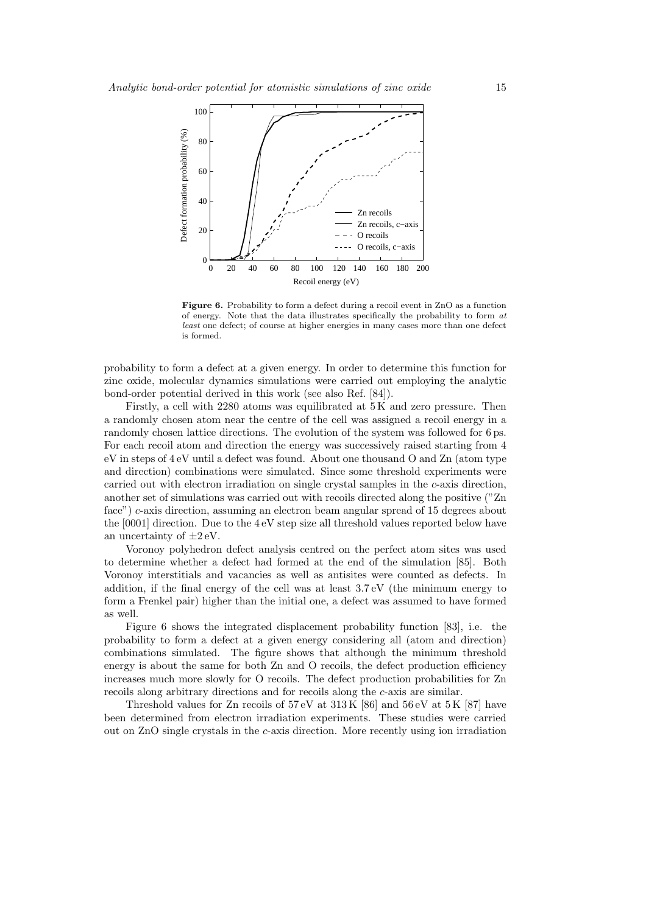

Figure 6. Probability to form a defect during a recoil event in ZnO as a function of energy. Note that the data illustrates specifically the probability to form at least one defect; of course at higher energies in many cases more than one defect is formed.

probability to form a defect at a given energy. In order to determine this function for zinc oxide, molecular dynamics simulations were carried out employing the analytic bond-order potential derived in this work (see also Ref. [84]).

Firstly, a cell with 2280 atoms was equilibrated at 5 K and zero pressure. Then a randomly chosen atom near the centre of the cell was assigned a recoil energy in a randomly chosen lattice directions. The evolution of the system was followed for 6 ps. For each recoil atom and direction the energy was successively raised starting from 4 eV in steps of 4 eV until a defect was found. About one thousand O and Zn (atom type and direction) combinations were simulated. Since some threshold experiments were carried out with electron irradiation on single crystal samples in the c-axis direction, another set of simulations was carried out with recoils directed along the positive ("Zn face") c-axis direction, assuming an electron beam angular spread of 15 degrees about the [0001] direction. Due to the 4 eV step size all threshold values reported below have an uncertainty of  $\pm 2 \text{ eV}$ .

Voronoy polyhedron defect analysis centred on the perfect atom sites was used to determine whether a defect had formed at the end of the simulation [85]. Both Voronoy interstitials and vacancies as well as antisites were counted as defects. In addition, if the final energy of the cell was at least 3.7 eV (the minimum energy to form a Frenkel pair) higher than the initial one, a defect was assumed to have formed as well.

Figure 6 shows the integrated displacement probability function [83], i.e. the probability to form a defect at a given energy considering all (atom and direction) combinations simulated. The figure shows that although the minimum threshold energy is about the same for both Zn and O recoils, the defect production efficiency increases much more slowly for O recoils. The defect production probabilities for Zn recoils along arbitrary directions and for recoils along the c-axis are similar.

Threshold values for Zn recoils of 57 eV at 313 K [86] and 56 eV at 5 K [87] have been determined from electron irradiation experiments. These studies were carried out on ZnO single crystals in the  $c$ -axis direction. More recently using ion irradiation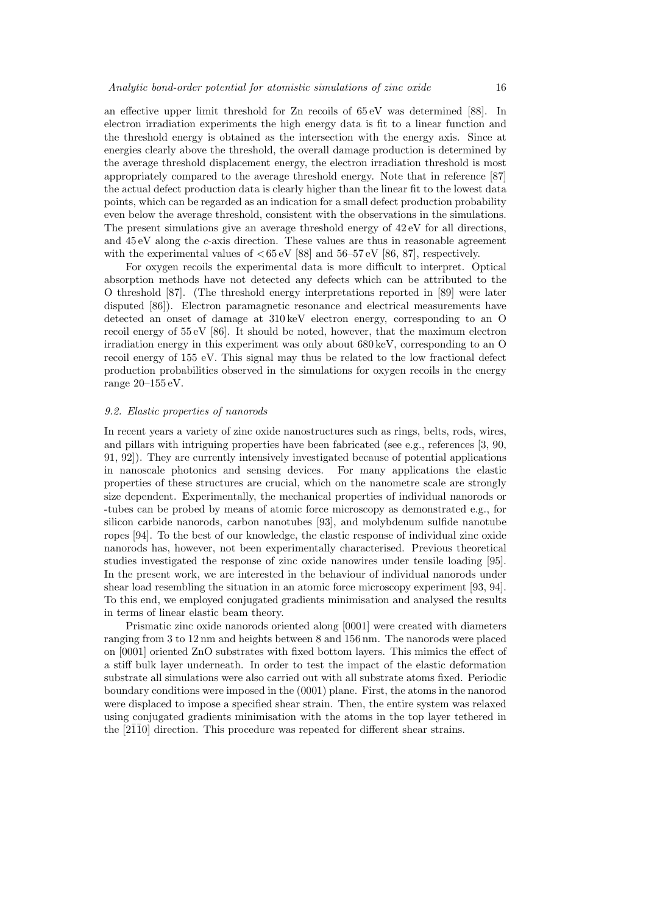an effective upper limit threshold for Zn recoils of 65 eV was determined [88]. In electron irradiation experiments the high energy data is fit to a linear function and the threshold energy is obtained as the intersection with the energy axis. Since at energies clearly above the threshold, the overall damage production is determined by the average threshold displacement energy, the electron irradiation threshold is most appropriately compared to the average threshold energy. Note that in reference [87] the actual defect production data is clearly higher than the linear fit to the lowest data points, which can be regarded as an indication for a small defect production probability even below the average threshold, consistent with the observations in the simulations. The present simulations give an average threshold energy of 42 eV for all directions, and  $45 \text{ eV}$  along the c-axis direction. These values are thus in reasonable agreement with the experimental values of  $< 65 \,\mathrm{eV}$  [88] and  $56-57 \,\mathrm{eV}$  [86, 87], respectively.

For oxygen recoils the experimental data is more difficult to interpret. Optical absorption methods have not detected any defects which can be attributed to the O threshold [87]. (The threshold energy interpretations reported in [89] were later disputed [86]). Electron paramagnetic resonance and electrical measurements have detected an onset of damage at 310 keV electron energy, corresponding to an O recoil energy of 55 eV [86]. It should be noted, however, that the maximum electron irradiation energy in this experiment was only about 680 keV, corresponding to an O recoil energy of 155 eV. This signal may thus be related to the low fractional defect production probabilities observed in the simulations for oxygen recoils in the energy range 20–155 eV.

#### 9.2. Elastic properties of nanorods

In recent years a variety of zinc oxide nanostructures such as rings, belts, rods, wires, and pillars with intriguing properties have been fabricated (see e.g., references [3, 90, 91, 92]). They are currently intensively investigated because of potential applications in nanoscale photonics and sensing devices. For many applications the elastic properties of these structures are crucial, which on the nanometre scale are strongly size dependent. Experimentally, the mechanical properties of individual nanorods or -tubes can be probed by means of atomic force microscopy as demonstrated e.g., for silicon carbide nanorods, carbon nanotubes [93], and molybdenum sulfide nanotube ropes [94]. To the best of our knowledge, the elastic response of individual zinc oxide nanorods has, however, not been experimentally characterised. Previous theoretical studies investigated the response of zinc oxide nanowires under tensile loading [95]. In the present work, we are interested in the behaviour of individual nanorods under shear load resembling the situation in an atomic force microscopy experiment [93, 94]. To this end, we employed conjugated gradients minimisation and analysed the results in terms of linear elastic beam theory.

Prismatic zinc oxide nanorods oriented along [0001] were created with diameters ranging from 3 to 12 nm and heights between 8 and 156 nm. The nanorods were placed on [0001] oriented ZnO substrates with fixed bottom layers. This mimics the effect of a stiff bulk layer underneath. In order to test the impact of the elastic deformation substrate all simulations were also carried out with all substrate atoms fixed. Periodic boundary conditions were imposed in the (0001) plane. First, the atoms in the nanorod were displaced to impose a specified shear strain. Then, the entire system was relaxed using conjugated gradients minimisation with the atoms in the top layer tethered in the  $[2\overline{1}\overline{1}0]$  direction. This procedure was repeated for different shear strains.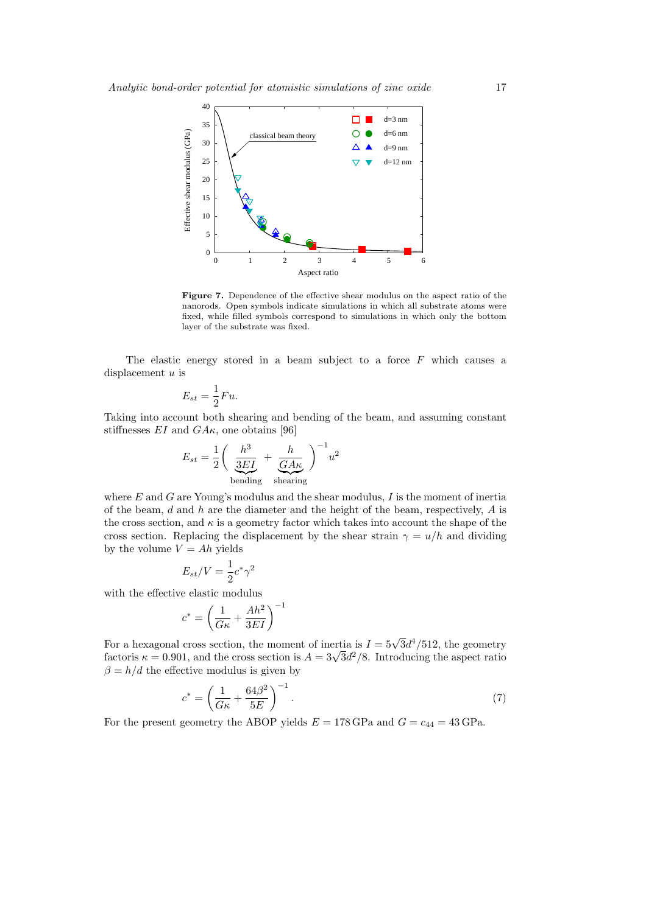

Figure 7. Dependence of the effective shear modulus on the aspect ratio of the nanorods. Open symbols indicate simulations in which all substrate atoms were fixed, while filled symbols correspond to simulations in which only the bottom layer of the substrate was fixed.

The elastic energy stored in a beam subject to a force  $F$  which causes a displacement u is

$$
E_{st} = \frac{1}{2}Fu.
$$

Taking into account both shearing and bending of the beam, and assuming constant stiffnesses  $EI$  and  $GA\kappa$ , one obtains [96]

$$
E_{st} = \frac{1}{2} \bigg( \underbrace{\frac{h^3}{3EI}}_{\text{bending}} + \underbrace{\frac{h}{GAK}}_{\text{shearing}} \bigg)^{-1} u^2
$$

where  $E$  and  $G$  are Young's modulus and the shear modulus,  $I$  is the moment of inertia of the beam,  $d$  and  $h$  are the diameter and the height of the beam, respectively,  $A$  is the cross section, and  $\kappa$  is a geometry factor which takes into account the shape of the cross section. Replacing the displacement by the shear strain  $\gamma = u/h$  and dividing by the volume  $V = Ah$  yields

$$
E_{st}/V = \frac{1}{2}c^*\gamma^2
$$

with the effective elastic modulus

$$
c^* = \left(\frac{1}{G\kappa} + \frac{Ah^2}{3EI}\right)^{-1}
$$

For a hexagonal cross section, the moment of inertia is  $I = 5\sqrt{3}d^4/512$ , the geometry factoris  $\kappa = 0.901$ , and the cross section is  $A = 3\sqrt{3}d^2/8$ . Introducing the aspect ratio  $\beta = h/d$  the effective modulus is given by

$$
c^* = \left(\frac{1}{G\kappa} + \frac{64\beta^2}{5E}\right)^{-1}.
$$
 (7)

For the present geometry the ABOP yields  $E = 178$  GPa and  $G = c_{44} = 43$  GPa.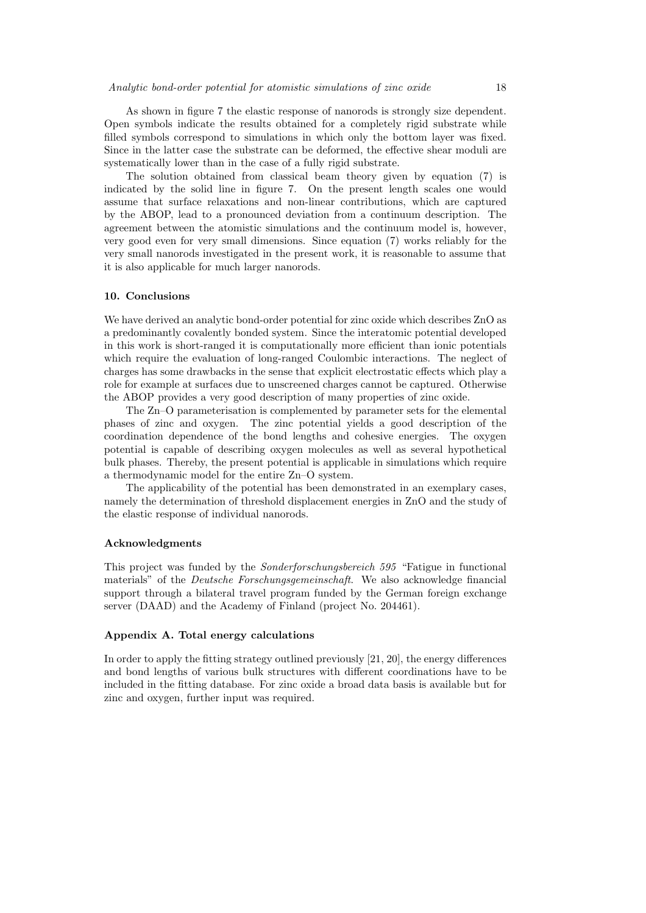As shown in figure 7 the elastic response of nanorods is strongly size dependent. Open symbols indicate the results obtained for a completely rigid substrate while filled symbols correspond to simulations in which only the bottom layer was fixed. Since in the latter case the substrate can be deformed, the effective shear moduli are systematically lower than in the case of a fully rigid substrate.

The solution obtained from classical beam theory given by equation (7) is indicated by the solid line in figure 7. On the present length scales one would assume that surface relaxations and non-linear contributions, which are captured by the ABOP, lead to a pronounced deviation from a continuum description. The agreement between the atomistic simulations and the continuum model is, however, very good even for very small dimensions. Since equation (7) works reliably for the very small nanorods investigated in the present work, it is reasonable to assume that it is also applicable for much larger nanorods.

## 10. Conclusions

We have derived an analytic bond-order potential for zinc oxide which describes ZnO as a predominantly covalently bonded system. Since the interatomic potential developed in this work is short-ranged it is computationally more efficient than ionic potentials which require the evaluation of long-ranged Coulombic interactions. The neglect of charges has some drawbacks in the sense that explicit electrostatic effects which play a role for example at surfaces due to unscreened charges cannot be captured. Otherwise the ABOP provides a very good description of many properties of zinc oxide.

The Zn–O parameterisation is complemented by parameter sets for the elemental phases of zinc and oxygen. The zinc potential yields a good description of the coordination dependence of the bond lengths and cohesive energies. The oxygen potential is capable of describing oxygen molecules as well as several hypothetical bulk phases. Thereby, the present potential is applicable in simulations which require a thermodynamic model for the entire Zn–O system.

The applicability of the potential has been demonstrated in an exemplary cases, namely the determination of threshold displacement energies in ZnO and the study of the elastic response of individual nanorods.

#### Acknowledgments

This project was funded by the Sonderforschungsbereich 595 "Fatigue in functional materials" of the Deutsche Forschungsgemeinschaft. We also acknowledge financial support through a bilateral travel program funded by the German foreign exchange server (DAAD) and the Academy of Finland (project No. 204461).

## Appendix A. Total energy calculations

In order to apply the fitting strategy outlined previously [21, 20], the energy differences and bond lengths of various bulk structures with different coordinations have to be included in the fitting database. For zinc oxide a broad data basis is available but for zinc and oxygen, further input was required.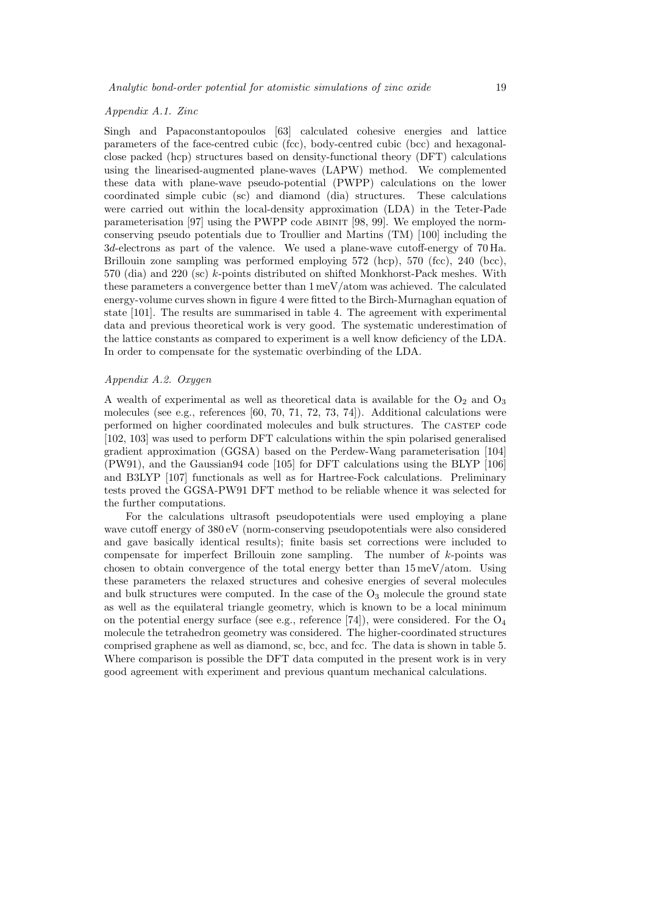## Appendix A.1. Zinc

Singh and Papaconstantopoulos [63] calculated cohesive energies and lattice parameters of the face-centred cubic (fcc), body-centred cubic (bcc) and hexagonalclose packed (hcp) structures based on density-functional theory (DFT) calculations using the linearised-augmented plane-waves (LAPW) method. We complemented these data with plane-wave pseudo-potential (PWPP) calculations on the lower coordinated simple cubic (sc) and diamond (dia) structures. These calculations were carried out within the local-density approximation (LDA) in the Teter-Pade parameterisation [97] using the PWPP code abinit [98, 99]. We employed the normconserving pseudo potentials due to Troullier and Martins (TM) [100] including the 3d-electrons as part of the valence. We used a plane-wave cutoff-energy of 70 Ha. Brillouin zone sampling was performed employing 572 (hcp), 570 (fcc), 240 (bcc), 570 (dia) and 220 (sc) k-points distributed on shifted Monkhorst-Pack meshes. With these parameters a convergence better than 1 meV/atom was achieved. The calculated energy-volume curves shown in figure 4 were fitted to the Birch-Murnaghan equation of state [101]. The results are summarised in table 4. The agreement with experimental data and previous theoretical work is very good. The systematic underestimation of the lattice constants as compared to experiment is a well know deficiency of the LDA. In order to compensate for the systematic overbinding of the LDA.

## Appendix A.2. Oxygen

A wealth of experimental as well as theoretical data is available for the  $O_2$  and  $O_3$ molecules (see e.g., references [60, 70, 71, 72, 73, 74]). Additional calculations were performed on higher coordinated molecules and bulk structures. The castep code [102, 103] was used to perform DFT calculations within the spin polarised generalised gradient approximation (GGSA) based on the Perdew-Wang parameterisation [104] (PW91), and the Gaussian94 code [105] for DFT calculations using the BLYP [106] and B3LYP [107] functionals as well as for Hartree-Fock calculations. Preliminary tests proved the GGSA-PW91 DFT method to be reliable whence it was selected for the further computations.

For the calculations ultrasoft pseudopotentials were used employing a plane wave cutoff energy of 380 eV (norm-conserving pseudopotentials were also considered and gave basically identical results); finite basis set corrections were included to compensate for imperfect Brillouin zone sampling. The number of  $k$ -points was chosen to obtain convergence of the total energy better than  $15 \,\mathrm{meV/atom}$ . Using these parameters the relaxed structures and cohesive energies of several molecules and bulk structures were computed. In the case of the  $O_3$  molecule the ground state as well as the equilateral triangle geometry, which is known to be a local minimum on the potential energy surface (see e.g., reference [74]), were considered. For the  $O_4$ molecule the tetrahedron geometry was considered. The higher-coordinated structures comprised graphene as well as diamond, sc, bcc, and fcc. The data is shown in table 5. Where comparison is possible the DFT data computed in the present work is in very good agreement with experiment and previous quantum mechanical calculations.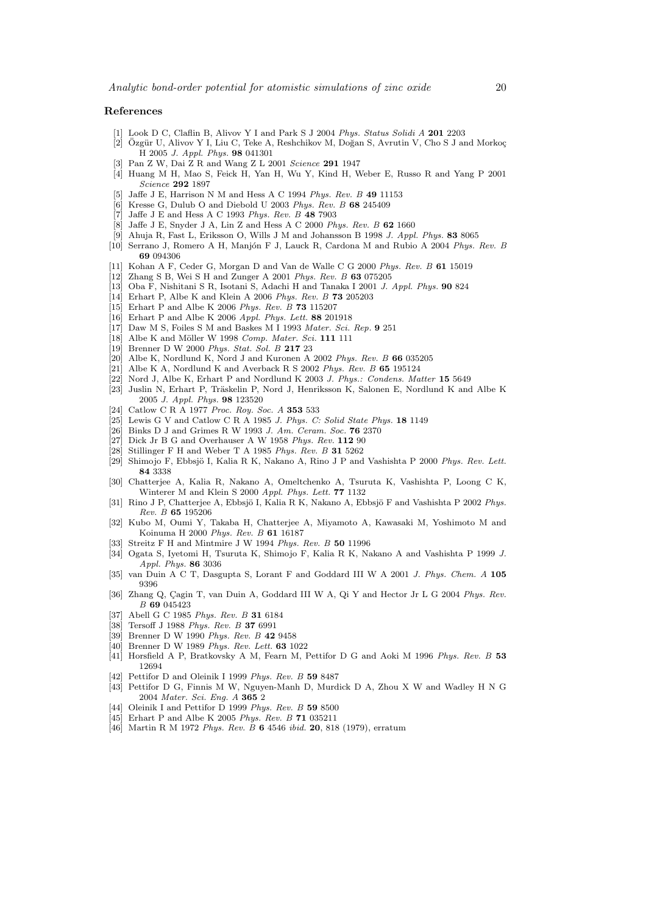## References

- [1] Look D C, Claflin B, Alivov Y I and Park S J 2004 Phys. Status Solidi A 201 2203
- [2] Özgür U, Alivov Y I, Liu C, Teke A, Reshchikov M, Doğan S, Avrutin V, Cho S J and Morkoç H 2005 J. Appl. Phys. 98 041301
- Pan Z W, Dai Z R and Wang Z L 2001 Science 291 1947
- [4] Huang M H, Mao S, Feick H, Yan H, Wu Y, Kind H, Weber E, Russo R and Yang P 2001 Science 292 1897
- Jaffe J E, Harrison N M and Hess A C 1994 Phys. Rev. B 49 11153
- [6] Kresse G, Dulub O and Diebold U 2003 Phys. Rev. B 68 245409
- [7] Jaffe J E and Hess A C 1993 Phys. Rev. B 48 7903
- [8] Jaffe J E, Snyder J A, Lin Z and Hess A C 2000 Phys. Rev. B 62 1660
- [9] Ahuja R, Fast L, Eriksson O, Wills J M and Johansson B 1998 J. Appl. Phys. 83 8065
- [10] Serrano J, Romero A H, Manjón F J, Lauck R, Cardona M and Rubio A 2004 Phys. Rev. B 69 094306
- [11] Kohan A F, Ceder G, Morgan D and Van de Walle C G 2000 Phys. Rev. B 61 15019
- [12] Zhang S B, Wei S H and Zunger A 2001 Phys. Rev. B 63 075205
- [13] Oba F, Nishitani S R, Isotani S, Adachi H and Tanaka I 2001 J. Appl. Phys. 90 824
- [14] Erhart P, Albe K and Klein A 2006 Phys. Rev. B 73 205203
- [15] Erhart P and Albe K 2006 Phys. Rev. B 73 115207
- [16] Erhart P and Albe K 2006 Appl. Phys. Lett. 88 201918
- [17] Daw M S, Foiles S M and Baskes M I 1993 Mater. Sci. Rep. 9 251
- $[18]$  Albe K and Möller W 1998 Comp. Mater. Sci. 111 111
- [19] Brenner D W 2000 Phys. Stat. Sol. B 217 23
- [20] Albe K, Nordlund K, Nord J and Kuronen A 2002 Phys. Rev. B  $66035205$
- [21] Albe K A, Nordlund K and Averback R S 2002 Phys. Rev. B  $65 195124$
- [22] Nord J, Albe K, Erhart P and Nordlund K 2003 J. Phys.: Condens. Matter 15 5649
- [23] Juslin N, Erhart P, Träskelin P, Nord J, Henriksson K, Salonen E, Nordlund K and Albe K 2005 J. Appl. Phys. 98 123520
- [24] Catlow C R A 1977 Proc. Roy. Soc. A 353 533
- [25] Lewis G V and Catlow C R A 1985 J. Phys. C: Solid State Phys.  $18$  1149
- [26] Binks D J and Grimes R W 1993 J. Am. Ceram. Soc. 76 2370
- [27] Dick Jr B G and Overhauser A W 1958 Phys. Rev. 112 90
- [28] Stillinger F H and Weber T A 1985 Phys. Rev. B  $31$  5262
- [29] Shimojo F, Ebbsjö I, Kalia R K, Nakano A, Rino J P and Vashishta P 2000 Phys. Rev. Lett. 84 3338
- [30] Chatterjee A, Kalia R, Nakano A, Omeltchenko A, Tsuruta K, Vashishta P, Loong C K, Winterer M and Klein S 2000 Appl. Phys. Lett. 77 1132
- [31] Rino J P, Chatterjee A, Ebbsjö I, Kalia R K, Nakano A, Ebbsjö F and Vashishta P 2002 Phys. Rev. B 65 195206
- [32] Kubo M, Oumi Y, Takaba H, Chatterjee A, Miyamoto A, Kawasaki M, Yoshimoto M and Koinuma H 2000 Phys. Rev. B 61 16187
- [33] Streitz F H and Mintmire J W 1994 Phys. Rev. B 50 11996
- [34] Ogata S, Iyetomi H, Tsuruta K, Shimojo F, Kalia R K, Nakano A and Vashishta P 1999 J. Appl. Phys. 86 3036
- [35] van Duin A C T, Dasgupta S, Lorant F and Goddard III W A 2001 J. Phys. Chem. A 105 9396
- [36] Zhang Q, Çagin T, van Duin A, Goddard III W A, Qi Y and Hector Jr L G 2004 Phys. Rev. B 69 045423
- [37] Abell G C 1985 Phys. Rev. B 31 6184
- [38] Tersoff J 1988 Phys. Rev. B 37 6991
- [39] Brenner D W 1990 Phys. Rev. B 42 9458
- [40] Brenner D W 1989 Phys. Rev. Lett. 63 1022
- [41] Horsfield A P, Bratkovsky A M, Fearn M, Pettifor D G and Aoki M 1996 Phys. Rev. B 53 12694
- [42] Pettifor D and Oleinik I 1999 Phys. Rev. B 59 8487
- [43] Pettifor D G, Finnis M W, Nguyen-Manh D, Murdick D A, Zhou X W and Wadley H N G 2004 Mater. Sci. Eng. A 365 2
- [44] Oleinik I and Pettifor D 1999 *Phys. Rev. B* **59** 8500 [45] Erhart P and Albe K 2005 *Phys. Rev. B* **71** 035211
- Erhart P and Albe K 2005 Phys. Rev. B  $71$  035211
- [46] Martin R M 1972 Phys. Rev. B 6 4546 ibid. 20, 818 (1979), erratum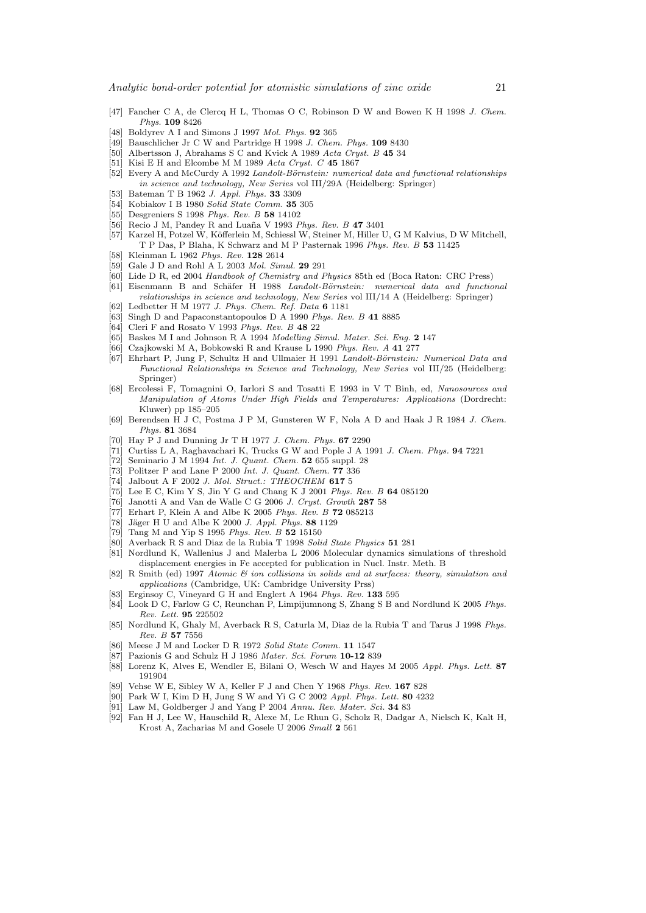- [47] Fancher C A, de Clercq H L, Thomas O C, Robinson D W and Bowen K H 1998 J. Chem. Phys. 109 8426
- [48] Boldyrev A I and Simons J 1997 Mol. Phys. **92** 365
- [49] Bauschlicher Jr C W and Partridge H 1998 J. Chem. Phys. 109 8430
- [50] Albertsson J, Abrahams S C and Kvick A 1989 Acta Cryst. B 45 34
- [51] Kisi E H and Elcombe M M 1989 Acta Cryst. C  $45$  1867
- [52] Every A and McCurdy A 1992 Landolt-Börnstein: numerical data and functional relationships in science and technology, New Series vol III/29A (Heidelberg: Springer)
- [53] Bateman T B 1962 J. Appl. Phys. 33 3309
- [54] Kobiakov I B 1980 Solid State Comm. 35 305
- [55] Desgreniers S 1998 Phys. Rev. B 58 14102
- [56] Recio J M, Pandey R and Luaña V 1993 Phys. Rev. B 47 3401
- [57] Karzel H, Potzel W, K¨offerlein M, Schiessl W, Steiner M, Hiller U, G M Kalvius, D W Mitchell, T P Das, P Blaha, K Schwarz and M P Pasternak 1996 Phys. Rev. B 53 11425
- [58] Kleinman L 1962 Phys. Rev. 128 2614
- [59] Gale J D and Rohl A L 2003 Mol. Simul. 29 291
- [60] Lide D R, ed 2004 Handbook of Chemistry and Physics 85th ed (Boca Raton: CRC Press)
- [61] Eisenmann B and Schäfer H 1988 Landolt-Börnstein: numerical data and functional relationships in science and technology, New Series vol III/14 A (Heidelberg: Springer)
- [62] Ledbetter H M 1977 J. Phys. Chem. Ref. Data 6 1181
- [63] Singh D and Papaconstantopoulos D A 1990 Phys. Rev. B 41 8885
- [64] Cleri F and Rosato V 1993 Phys. Rev. B 48 22
- [65] Baskes M I and Johnson R A 1994 Modelling Simul. Mater. Sci. Eng. 2 147
- [66] Czajkowski M A, Bobkowski R and Krause L 1990 Phys. Rev. A 41 277
- [67] Ehrhart P, Jung P, Schultz H and Ullmaier H 1991 Landolt-Börnstein: Numerical Data and Functional Relationships in Science and Technology, New Series vol III/25 (Heidelberg: Springer)
- [68] Ercolessi F, Tomagnini O, Iarlori S and Tosatti E 1993 in V T Binh, ed, Nanosources and Manipulation of Atoms Under High Fields and Temperatures: Applications (Dordrecht: Kluwer) pp 185–205
- [69] Berendsen H J C, Postma J P M, Gunsteren W F, Nola A D and Haak J R 1984 J. Chem. Phys. 81 3684
- [70] Hay P J and Dunning Jr T H 1977 J. Chem. Phys. 67 2290
- [71] Curtiss L A, Raghavachari K, Trucks G W and Pople J A 1991 J. Chem. Phys. 94 7221
- $[72]$  Seminario J M 1994 Int. J. Quant. Chem.  $52\,655$  suppl. 28
- [73] Politzer P and Lane P 2000 Int. J. Quant. Chem. 77 336
- $[74]$  Jalbout A F 2002 J. Mol. Struct.: THEOCHEM 617 5
- [75] Lee E C, Kim Y S, Jin Y G and Chang K J 2001 Phys. Rev. B 64 085120
- [76] Janotti A and Van de Walle C G 2006 J. Cryst. Growth 287 58
- [77] Erhart P, Klein A and Albe K 2005 Phys. Rev. B 72 085213
- [78] Jäger H U and Albe K 2000 J. Appl. Phys. 88 1129
- [79] Tang M and Yip S 1995 Phys. Rev. B 52 15150
- [80] Averback R S and Diaz de la Rubia T 1998 Solid State Physics 51 281
- [81] Nordlund K, Wallenius J and Malerba L 2006 Molecular dynamics simulations of threshold displacement energies in Fe accepted for publication in Nucl. Instr. Meth. B
- [82] R Smith (ed) 1997 Atomic & ion collisions in solids and at surfaces: theory, simulation and applications (Cambridge, UK: Cambridge University Prss)
- [83] Erginsoy C, Vineyard G H and Englert A 1964 Phys. Rev. 133 595
- [84] Look D C, Farlow G C, Reunchan P, Limpijumnong S, Zhang S B and Nordlund K 2005 Phys. Rev. Lett. 95 225502
- [85] Nordlund K, Ghaly M, Averback R S, Caturla M, Diaz de la Rubia T and Tarus J 1998 Phys. Rev. B 57 7556
- [86] Meese J M and Locker D R 1972 Solid State Comm. 11 1547
- [87] Pazionis G and Schulz H J 1986 Mater. Sci. Forum 10-12 839
- [88] Lorenz K, Alves E, Wendler E, Bilani O, Wesch W and Hayes M 2005 Appl. Phys. Lett. 87 191904
- [89] Vehse W E, Sibley W A, Keller F J and Chen Y 1968 Phys. Rev. 167 828
- [90] Park W I, Kim D H, Jung S W and Yi G C 2002 Appl. Phys. Lett. 80 4232
- [91] Law M, Goldberger J and Yang P 2004 Annu. Rev. Mater. Sci. 34 83
- [92] Fan H J, Lee W, Hauschild R, Alexe M, Le Rhun G, Scholz R, Dadgar A, Nielsch K, Kalt H, Krost A, Zacharias M and Gosele U 2006 Small 2 561